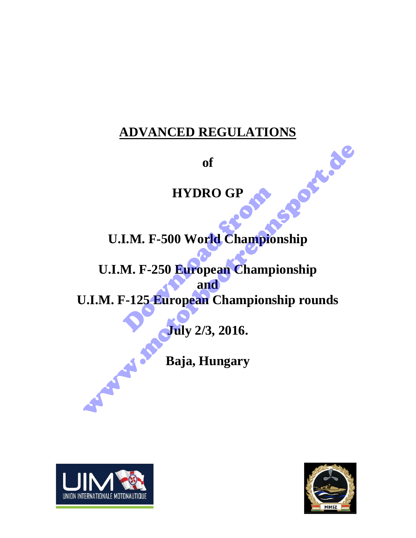# **ADVANCED REGULATIONS**<br>
of<br> **HYDRO**

**of**

# **HYDRO GP**

**U.I.M. F-500 World Championship** 

**U.I.M. F-250 European Championship and U.I.M. F-125 European Championship rounds**  HYDRO GP<br>
I.M. F-500 World Champion<br>
M. F-250 European Champion<br>
F-125 European Champions<br>
F-125 European Champions<br>
Tily 2/3, 2016. of<br>
HYDRO GP<br>
U.I.M. F-500 World Championship<br>
U.I.M. F-250 European Championship<br>
J.I.M. F-125 European Championship rounds<br>
Duly 2/3, 2016.<br>
Baja, Hungary

**July 2/3, 2016.** 

**Baja, Hungary** 



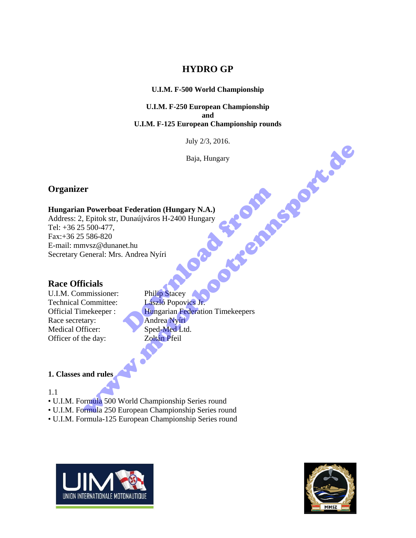# **HYDRO GP**

### **U.I.M. F-500 World Championship**

**U.I.M. F-250 European Championship and U.I.M. F-125 European Championship rounds** 

July 2/3, 2016.

Baja, Hungary

# **Organizer**

### **Hungarian Powerboat Federation (Hungary N.A.)**

Address: 2, Epitok str, Dunaújváros H-2400 Hungary Tel: +36 25 500-477, Fax:+36 25 586-820 E-mail: mmvsz@dunanet.hu Secretary General: Mrs. Andrea Nyíri

# **Race Officials**

U.I.M. Commissioner: Philip Stacey Technical Committee: László Popovics Jr. Race secretary: Andrea Nyíri Medical Officer: Sped-Med Ltd. Officer of the day: Zoltán Pfeil

Official Timekeeper : Hungarian Federation Timekeepers Federation (Hungary N.A.)<br>Dunaújváros H-2400 Hungary<br>et.hu<br>Andrea Nyíri<br>Philip Stacey<br>László Popovics Jr.<br>Hungarian Federation Timekeepers<br>Andrea Nyíri<br>Sped-Med Ltd. Baja, Hungary<br>
Baja, Hungary<br>
Proverboat Federation (Hungary N.A.)<br>
5. 500-477,<br>
Si S6-820<br>
Si S66-820<br>
Si S66-820<br>
Siemend: Mrs. Andrea Nyiri<br>
Technicus:<br>
Committeer:<br>
Lexike Pieur Manne Federation Timekeepers<br>
Lexike Pie

### **1. Classes and rules**

### 1.1

- U.I.M. Formula 500 World Championship Series round
- U.I.M. Formula 250 European Championship Series round
- U.I.M. Formula-125 European Championship Series round



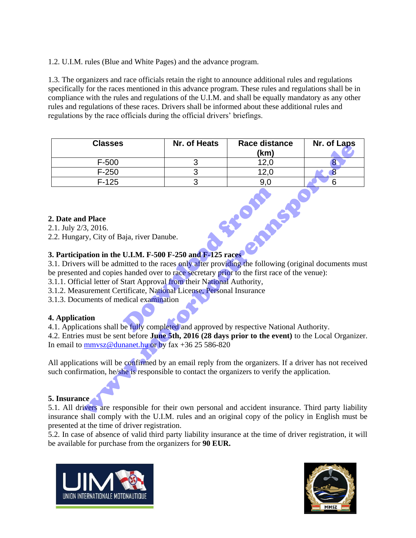1.2. U.I.M. rules (Blue and White Pages) and the advance program.

1.3. The organizers and race officials retain the right to announce additional rules and regulations specifically for the races mentioned in this advance program. These rules and regulations shall be in compliance with the rules and regulations of the U.I.M. and shall be equally mandatory as any other rules and regulations of these races. Drivers shall be informed about these additional rules and regulations by the race officials during the official drivers' briefings.

| <b>Classes</b>                                                                                                                                                                                                                                                                                                                                                                                                                                                                                                                                                                                                                                                                                                                                                                                                                             | Nr. of Heats | Race distance<br>(km) | Nr. of Laps    |
|--------------------------------------------------------------------------------------------------------------------------------------------------------------------------------------------------------------------------------------------------------------------------------------------------------------------------------------------------------------------------------------------------------------------------------------------------------------------------------------------------------------------------------------------------------------------------------------------------------------------------------------------------------------------------------------------------------------------------------------------------------------------------------------------------------------------------------------------|--------------|-----------------------|----------------|
| $F-500$                                                                                                                                                                                                                                                                                                                                                                                                                                                                                                                                                                                                                                                                                                                                                                                                                                    | 3            | 12,0                  | 8 <sup>°</sup> |
| $F-250$                                                                                                                                                                                                                                                                                                                                                                                                                                                                                                                                                                                                                                                                                                                                                                                                                                    | 3            | 12,0                  | 8              |
| $F-125$                                                                                                                                                                                                                                                                                                                                                                                                                                                                                                                                                                                                                                                                                                                                                                                                                                    | 3            | 9,0                   | 6              |
| 2. Date and Place<br>2.1. July 2/3, 2016.<br>2.2. Hungary, City of Baja, river Danube.<br>3. Participation in the U.I.M. F-500 F-250 and F-125 races<br>3.1. Drivers will be admitted to the races only after providing the following (original documents mus<br>be presented and copies handed over to race secretary prior to the first race of the venue):<br>3.1.1. Official letter of Start Approval from their National Authority,<br>3.1.2. Measurement Certificate, National License, Personal Insurance<br>3.1.3. Documents of medical examination<br>4. Application<br>4.1. Applications shall be fully completed and approved by respective National Authority.<br>4.2. Entries must be sent before June 5th, 2016 (28 days prior to the event) to the Local Organizer<br>In email to mmysz@dunanet.hu or by fax +36 25 586-820 |              |                       |                |
|                                                                                                                                                                                                                                                                                                                                                                                                                                                                                                                                                                                                                                                                                                                                                                                                                                            |              |                       |                |
| All applications will be confirmed by an email reply from the organizers. If a driver has not received<br>such confirmation, he/she is responsible to contact the organizers to verify the application.                                                                                                                                                                                                                                                                                                                                                                                                                                                                                                                                                                                                                                    |              |                       |                |
| <b>5. Insurance</b>                                                                                                                                                                                                                                                                                                                                                                                                                                                                                                                                                                                                                                                                                                                                                                                                                        |              |                       |                |
| 5.1. All drivers are responsible for their own personal and accident insurance. Third party liability<br>insurance shall comply with the ULM rules and an original copy of the policy in Fuglish must be                                                                                                                                                                                                                                                                                                                                                                                                                                                                                                                                                                                                                                   |              |                       |                |

### **2. Date and Place**

# **3. Participation in the U.I.M. F-500 F-250 and F-125 races**

- 3.1.1. Official letter of Start Approval from their National Authority,
- 3.1.2. Measurement Certificate, National License, Personal Insurance
- 3.1.3. Documents of medical examination

# **4. Application**

### **5. Insurance**

5.1. All drivers are responsible for their own personal and accident insurance. Third party liability insurance shall comply with the U.I.M. rules and an original copy of the policy in English must be presented at the time of driver registration.

5.2. In case of absence of valid third party liability insurance at the time of driver registration, it will be available for purchase from the organizers for **90 EUR.**



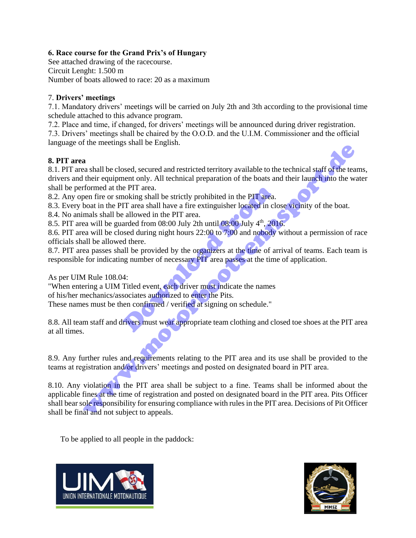### **6. Race course for the Grand Prix's of Hungary**

See attached drawing of the racecourse. Circuit Lenght: 1.500 m Number of boats allowed to race: 20 as a maximum

### 7. **Drivers' meetings**

7.1. Mandatory drivers' meetings will be carried on July 2th and 3th according to the provisional time schedule attached to this advance program.

7.2. Place and time, if changed, for drivers' meetings will be announced during driver registration. 7.3. Drivers' meetings shall be chaired by the O.O.D. and the U.I.M. Commissioner and the official language of the meetings shall be English.

### **8. PIT area**

8.1. PIT area shall be closed, secured and restricted territory available to the technical staff of the teams, drivers and their equipment only. All technical preparation of the boats and their launch into the water shall be performed at the PIT area.

8.2. Any open fire or smoking shall be strictly prohibited in the PIT area.

8.3. Every boat in the PIT area shall have a fire extinguisher located in close vicinity of the boat.

8.4. No animals shall be allowed in the PIT area.

8.5. PIT area will be guarded from  $08:00$  July 2th until  $08:00$  July  $4<sup>th</sup>$ , 2016.

8.6. PIT area will be closed during night hours 22:00 to 7:00 and nobody without a permission of race officials shall be allowed there.

8.7. PIT area passes shall be provided by the organizers at the time of arrival of teams. Each team is responsible for indicating number of necessary PIT area passes at the time of application.

As per UIM Rule 108.04:

"When entering a UIM Titled event, each driver must indicate the names of his/her mechanics/associates authorized to enter the Pits. e PIT area.<br>
IT area shall be strictly prohibited in the PIT area.<br>
IT area shall have a fire extinguisher located in clear<br>
and from 08:00 July 2th until 08:00 July 4<sup>th</sup>, 201<br>
and from 08:00 July 2th until 08:00 July 4<sup>t</sup>

These names must be then confirmed / verified at signing on schedule."

8.8. All team staff and drivers must wear appropriate team clothing and closed toe shoes at the PIT area at all times.

8.9. Any further rules and requirements relating to the PIT area and its use shall be provided to the teams at registration and/or drivers' meetings and posted on designated board in PIT area.

8.10. Any violation in the PIT area shall be subject to a fine. Teams shall be informed about the applicable fines at the time of registration and posted on designated board in the PIT area. Pits Officer shall bear sole responsibility for ensuring compliance with rules in the PIT area. Decisions of Pit Officer shall be final and not subject to appeals. a<br>
as shall be closed, secured and restricted territory available to the technical staff of the tea<br>
their equipment only. All technical preparation of the boats and their launch into the working<br>
of the PIT area .<br>
boat i

To be applied to all people in the paddock:



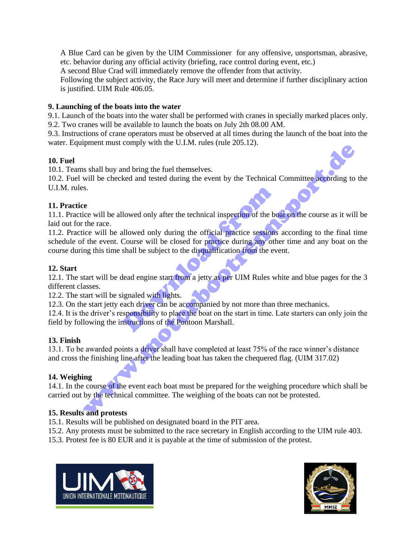A Blue Card can be given by the UIM Commissioner for any offensive, unsportsman, abrasive, etc. behavior during any official activity (briefing, race control during event, etc.)

A second Blue Crad will immediately remove the offender from that activity.

Following the subject activity, the Race Jury will meet and determine if further disciplinary action is justified. UIM Rule 406.05.

### **9. Launching of the boats into the water**

9.1. Launch of the boats into the water shall be performed with cranes in specially marked places only. 9.2. Two cranes will be available to launch the boats on July 2th 08.00 AM.

9.3. Instructions of crane operators must be observed at all times during the launch of the boat into the water. Equipment must comply with the U.I.M. rules (rule 205.12).

### **10. Fuel**

10.1. Teams shall buy and bring the fuel themselves.

10.2. Fuel will be checked and tested during the event by the Technical Committee according to the U.I.M. rules.

### **11. Practice**

11.1. Practice will be allowed only after the technical inspection of the boat on the course as it will be laid out for the race.

11.2. Practice will be allowed only during the official practice sessions according to the final time schedule of the event. Course will be closed for practice during any other time and any boat on the course during this time shall be subject to the disqualification from the event. lowed only after the technical inspection of the beat<br>
llowed only during the official practice sessions<br>
Course will be closed for practice during any oth<br>
shall be subject to the disqualification from the ev<br>
lead engine when the start of the Book of the Book of the Ned the Control of the start of the start of the best can be the<br>skill by and bring the fuel themselves.<br>So will be checked and tested during the event by the Technical Committ

### **12. Start**

12.1. The start will be dead engine start from a jetty as per UIM Rules white and blue pages for the 3 different classes.

12.2. The start will be signaled with lights.

12.3. On the start jetty each driver can be accompanied by not more than three mechanics.

12.4. It is the driver's responsibility to place the boat on the start in time. Late starters can only join the field by following the instructions of the Pontoon Marshall.

# **13. Finish**

13.1. To be awarded points a driver shall have completed at least 75% of the race winner's distance and cross the finishing line after the leading boat has taken the chequered flag. (UIM 317.02)

# **14. Weighing**

14.1. In the course of the event each boat must be prepared for the weighing procedure which shall be carried out by the technical committee. The weighing of the boats can not be protested.

# **15. Results and protests**

15.1. Results will be published on designated board in the PIT area.

15.2. Any protests must be submitted to the race secretary in English according to the UIM rule 403.

15.3. Protest fee is 80 EUR and it is payable at the time of submission of the protest.



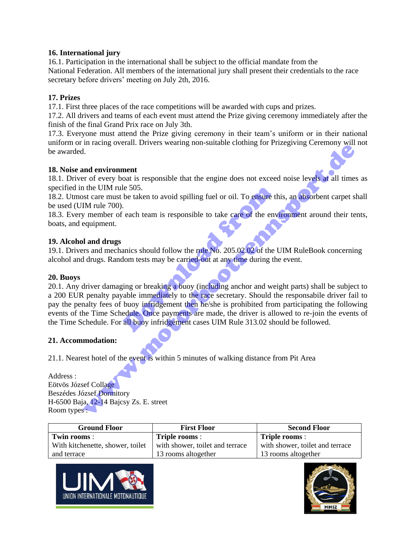### **16. International jury**

16.1. Participation in the international shall be subject to the official mandate from the National Federation. All members of the international jury shall present their credentials to the race secretary before drivers' meeting on July 2th, 2016.

### **17. Prizes**

17.1. First three places of the race competitions will be awarded with cups and prizes.

17.2. All drivers and teams of each event must attend the Prize giving ceremony immediately after the finish of the final Grand Prix race on July 3th.

17.3. Everyone must attend the Prize giving ceremony in their team's uniform or in their national uniform or in racing overall. Drivers wearing non-suitable clothing for Prizegiving Ceremony will not be awarded.

### **18. Noise and environment**

18.1. Driver of every boat is responsible that the engine does not exceed noise levels at all times as specified in the UIM rule 505.

18.2. Utmost care must be taken to avoid spilling fuel or oil. To ensure this, an absorbent carpet shall be used (UIM rule 700).

18.3. Every member of each team is responsible to take care of the environment around their tents, boats, and equipment.

### **19. Alcohol and drugs**

19.1. Drivers and mechanics should follow the rule No. 205.02.02 of the UIM RuleBook concerning alcohol and drugs. Random tests may be carried-out at any time during the event.

### **20. Buoys**

20.1. Any driver damaging or breaking a buoy (including anchor and weight parts) shall be subject to a 200 EUR penalty payable immediately to the race secretary. Should the responsabile driver fail to pay the penalty fees of buoy infridgement then he/she is prohibited from participating the following events of the Time Schedule. Once payments are made, the driver is allowed to re-join the events of the Time Schedule. For all buoy infridgement cases UIM Rule 313.02 should be followed. de 505.<br>
be taken to avoid spilling fuel or oil. To ensure the enveloped can be taken is responsible to take care of the enveloped can be enveloped and the enveloped counter of the lommeters may be carried-out at any time In an<br>environment of every boat is responsible that the engine does not exceed noise levels at all times<br>the UM rule 505.<br>In the UM rule 505.<br>In the UM rule 505, the to avoid spilling fuel or oil. To ensure this, an absorb

### **21. Accommodation:**

21.1. Nearest hotel of the event is within 5 minutes of walking distance from Pit Area

Address : Eötvös József Collage Beszédes József Dormitory H-6500 Baja, 12-14 Bajcsy Zs. E. street Room types :

| <b>Ground Floor</b>              | <b>First Floor</b>              | <b>Second Floor</b>             |
|----------------------------------|---------------------------------|---------------------------------|
| Twin rooms:                      | Triple rooms :                  | Triple rooms :                  |
| With kitchenette, shower, toilet | with shower, toilet and terrace | with shower, toilet and terrace |
| and terrace                      | 13 rooms altogether             | 13 rooms altogether             |



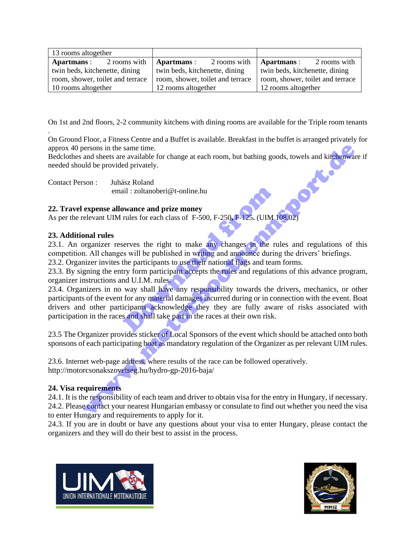| 13 rooms altogether              |              |                                  |              |                                  |              |
|----------------------------------|--------------|----------------------------------|--------------|----------------------------------|--------------|
| Apartmans :                      | 2 rooms with | Apartmans :                      | 2 rooms with | Apartmans :                      | 2 rooms with |
| twin beds, kitchenette, dining   |              | twin beds, kitchenette, dining   |              | twin beds, kitchenette, dining   |              |
| room, shower, toilet and terrace |              | room, shower, toilet and terrace |              | room, shower, toilet and terrace |              |
| 10 rooms altogether              |              | 12 rooms altogether              |              | 12 rooms altogether              |              |

On 1st and 2nd floors, 2-2 community kitchens with dining rooms are available for the Triple room tenants

On Ground Floor, a Fitness Centre and a Buffet is available. Breakfast in the buffet is arranged privately for approx 40 persons in the same time.

Bedclothes and sheets are available for change at each room, but bathing goods, towels and kitchenware if needed should be provided privately.

Contact Person : Juhász Roland email : zoltanoberi@t-online.hu

### **22. Travel expense allowance and prize money**

As per the relevant UIM rules for each class of F-500, F-250**,** F-125**.** (UIM 108.02)

### **23. Additional rules**

.

23.1. An organizer reserves the right to make any changes in the rules and regulations of this competition. All changes will be published in writing and announce during the drivers' briefings.

23.2. Organizer invites the participants to use their national flags and team forms.

23.3. By signing the entry form participant accepts the rules and regulations of this advance program, organizer instructions and U.I.M. rules.

23.4. Organizers in no way shall have any responsibility towards the drivers, mechanics, or other participants of the event for any material damages incurred during or in connection with the event. Boat drivers and other participants acknowledge they they are fully aware of risks associated with participation in the races and shall take part in the races at their own risk. ail: zoltanoberi@t-online.hu<br> **owance and prize money**<br>
rules for each class of F-500, F-250, F-125. (UIM 1<br>
serves the right to make any changes in the rules<br>
will be published in writing and announce durin<br>
the participa or the same time.<br>
and sheets are available for change at each room, but bathing goods, towels and kitchenwa<br>
and she provided privately.<br>
Son : Juhász Roland<br>
email : zoltanoberi@t-online.hu<br>
expense allowance and prize

23.5 The Organizer provides sticker of Local Sponsors of the event which should be attached onto both sponsons of each participating boat as mandatory regulation of the Organizer as per relevant UIM rules.

23.6. Internet web-page address, where results of the race can be followed operatively. http://motorcsonakszovetseg.hu/hydro-gp-2016-baja/

### **24. Visa requirements**

24.1. It is the responsibility of each team and driver to obtain visa for the entry in Hungary, if necessary. 24.2. Please contact your nearest Hungarian embassy or consulate to find out whether you need the visa to enter Hungary and requirements to apply for it.

24.3. If you are in doubt or have any questions about your visa to enter Hungary, please contact the organizers and they will do their best to assist in the process.



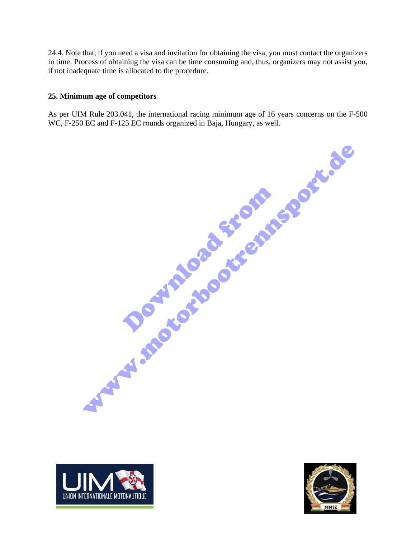24.4. Note that, if you need a visa and invitation for obtaining the visa, you must contact the organizers in time. Process of obtaining the visa can be time consuming and, thus, organizers may not assist you, if not inadequate time is allocated to the procedure.

### **25. Minimum age of competitors**

As per UIM Rule 203.041, the international racing minimum age of 16 years concerns on the F-500 WC, F-250 EC and F-125 EC rounds organized in Baja, Hungary, as well.

Download from www.motorbootrennsport.de



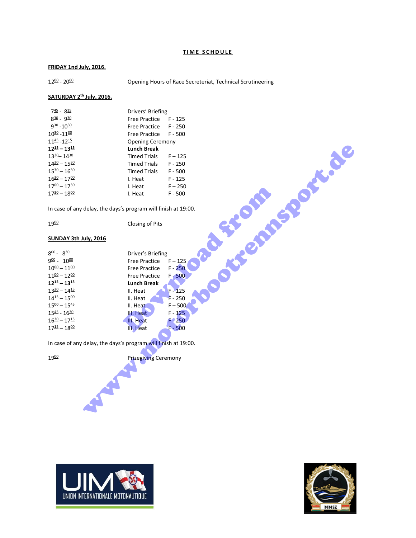### **TIME SCHDULE**

### **FRIDAY 1nd July, 2016.**

 $12^{00} - 20^{00}$ 

Opening Hours of Race Secreteriat, Technical Scrutineering

### **SATURDAY 2th July, 2016.**

| <b>Lunch Break</b>  |                                                                                                                                         |
|---------------------|-----------------------------------------------------------------------------------------------------------------------------------------|
| <b>Timed Trials</b> | $F - 125$                                                                                                                               |
|                     | F - 250                                                                                                                                 |
| Timed Trials        | $F - 500$                                                                                                                               |
| I. Heat             | F - 125                                                                                                                                 |
| I. Heat             | $F - 250$                                                                                                                               |
| I. Heat             | $F - 500$                                                                                                                               |
|                     | Drivers' Briefing<br>Free Practice F - 125<br>Free Practice F - 250<br>Free Practice F - 500<br><b>Opening Ceremony</b><br>Timed Trials |

### **SUNDAY 3th July, 2016**

| $12^{\underline{15}} - 13^{\underline{15}}$                    | <b>Lunch Break</b>          |                     |
|----------------------------------------------------------------|-----------------------------|---------------------|
| 1330 - 1430                                                    | <b>Timed Trials</b>         | $F - 125$           |
| $14^{30} - 15^{30}$                                            | <b>Timed Trials</b>         | $F - 250$           |
| $15^{30} - 16^{30}$                                            | <b>Timed Trials</b>         | $F - 500$           |
| $16^{30} - 17^{00}$                                            | I. Heat                     | $F - 125$           |
| $17^{00} - 17^{30}$                                            | I. Heat                     | $F - 250$           |
| $17^{30} - 18^{00}$                                            | I. Heat                     | office<br>$F - 500$ |
| In case of any delay, the days's program will finish at 19:00. |                             |                     |
|                                                                |                             |                     |
| 1900                                                           | Closing of Pits             |                     |
|                                                                |                             |                     |
| SUNDAY 3th July, 2016                                          |                             | <b>ASSESSMENT</b>   |
| $8^{00}$ - $8^{30}$                                            | Driver's Briefing           |                     |
| $900 - 1000$                                                   | <b>Free Practice</b>        | $F - 125$           |
| $10^{00} - 11^{00}$                                            | <b>Free Practice</b>        | $F - 250$           |
| $11^{00} - 12^{00}$                                            | <b>Free Practice</b>        | $F - 500$           |
| $12^{15} - 13^{15}$                                            | <b>Lunch Break</b>          |                     |
| $13^{30} - 14^{15}$                                            | II. Heat                    | $F - 125$           |
| $14^{\underline{15}} - 15^{\underline{00}}$                    | II. Heat                    | $F - 250$           |
| $15^{00} - 15^{45}$                                            | II. Heat                    | $F - 500$           |
| $15^{45} - 16^{30}$                                            | III. Heat                   | $F - 125$           |
| $16^{30} - 17^{15}$                                            | III. Heat                   | $F - 250$           |
| $17^{\underline{15}} - 18^{\underline{00}}$                    | III. Heat                   | $F - 500$           |
| In case of any delay, the days's program will finish at 19:00. |                             |                     |
|                                                                |                             |                     |
| 1900                                                           | <b>Prizegiving Ceremony</b> |                     |
|                                                                |                             |                     |
|                                                                |                             |                     |
|                                                                |                             |                     |
|                                                                |                             |                     |
|                                                                |                             |                     |
|                                                                |                             |                     |
|                                                                |                             |                     |



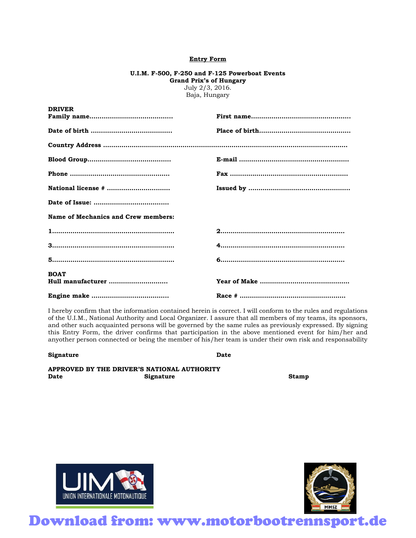### **Entry Form**

### **U.I.M. F-500, F-250 and F-125 Powerboat Events Grand Prix's of Hungary** July 2/3, 2016.

Baja, Hungary

| DRIVER                                     |  |
|--------------------------------------------|--|
|                                            |  |
|                                            |  |
|                                            |  |
|                                            |  |
|                                            |  |
| National license #                         |  |
|                                            |  |
| <b>Name of Mechanics and Crew members:</b> |  |
|                                            |  |
|                                            |  |
|                                            |  |
| <b>BOAT</b>                                |  |
| Hull manufacturer                          |  |
|                                            |  |

I hereby confirm that the information contained herein is correct. I will conform to the rules and regulations of the U.I.M., National Authority and Local Organizer. I assure that all members of my teams, its sponsors, and other such acquainted persons will be governed by the same rules as previously expressed. By signing this Entry Form, the driver confirms that participation in the above mentioned event for him/her and anyother person connected or being the member of his/her team is under their own risk and responsability

**Signature Date Date** 

**DRIVER** 

**APPROVED BY THE DRIVER'S NATIONAL AUTHORITY Date** Signature Stamp **Stamp Contract Stamp** 





Download from: www.motorbootrennsport.de